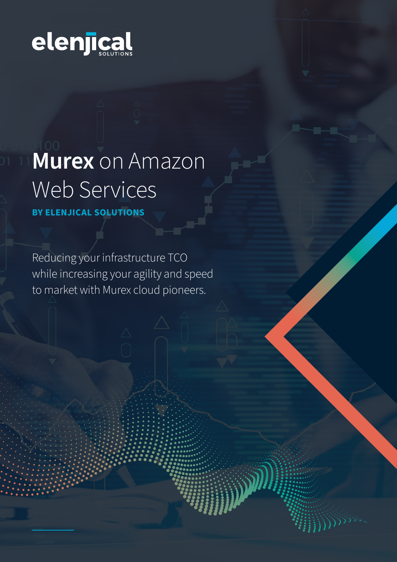

# **Murex** on Amazon Web Services

**BY ELENJICAL SOLUTIONS** 

Reducing your infrastructure TCO while increasing your agility and speed to market with Murex cloud pioneers.

W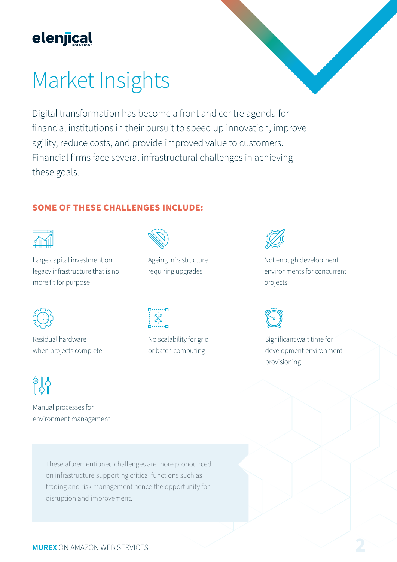

### Market Insights

Digital transformation has become a front and centre agenda for financial institutions in their pursuit to speed up innovation, improve agility, reduce costs, and provide improved value to customers. Financial firms face several infrastructural challenges in achieving these goals.

#### **SOME OF THESE CHALLENGES INCLUDE:**



Large capital investment on legacy infrastructure that is no more fit for purpose



Ageing infrastructure requiring upgrades



Residual hardware when projects complete



Manual processes for environment management



No scalability for grid or batch computing



Not enough development environments for concurrent projects



Significant wait time for development environment provisioning

These aforementioned challenges are more pronounced on infrastructure supporting critical functions such as trading and risk management hence the opportunity for disruption and improvement.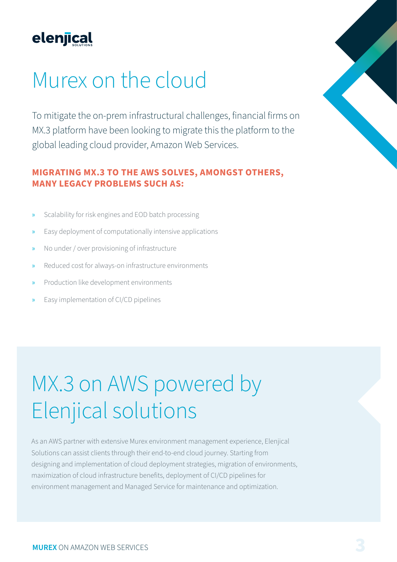

### Murex on the cloud

To mitigate the on-prem infrastructural challenges, financial firms on MX.3 platform have been looking to migrate this the platform to the global leading cloud provider, Amazon Web Services.

#### **MIGRATING MX.3 TO THE AWS SOLVES, AMONGST OTHERS, MANY LEGACY PROBLEMS SUCH AS:**

- Scalability for risk engines and EOD batch processing
- » Easy deployment of computationally intensive applications
- » No under / over provisioning of infrastructure
- Reduced cost for always-on infrastructure environments
- » Production like development environments
- » Easy implementation of CI/CD pipelines

### MX.3 on AWS powered by Elenjical solutions

As an AWS partner with extensive Murex environment management experience, Elenjical Solutions can assist clients through their end-to-end cloud journey. Starting from designing and implementation of cloud deployment strategies, migration of environments, maximization of cloud infrastructure benefits, deployment of CI/CD pipelines for environment management and Managed Service for maintenance and optimization.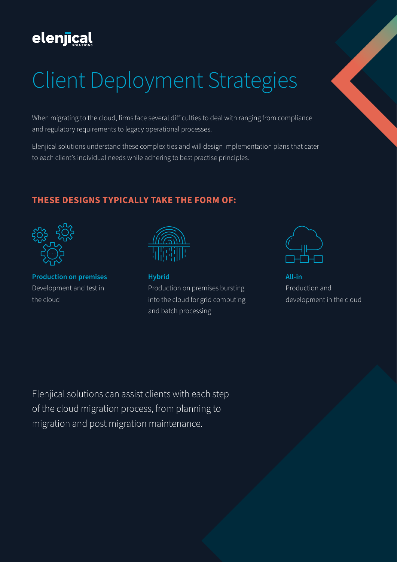### elenjical

## Client Deployment Strategies

When migrating to the cloud, firms face several difficulties to deal with ranging from compliance and regulatory requirements to legacy operational processes.

Elenjical solutions understand these complexities and will design implementation plans that cater to each client's individual needs while adhering to best practise principles.

#### **THESE DESIGNS TYPICALLY TAKE THE FORM OF:**



**Production on premises**  Development and test in the cloud



**Hybrid** Production on premises bursting into the cloud for grid computing and batch processing



**All-in** Production and development in the cloud

Elenjical solutions can assist clients with each step of the cloud migration process, from planning to migration and post migration maintenance.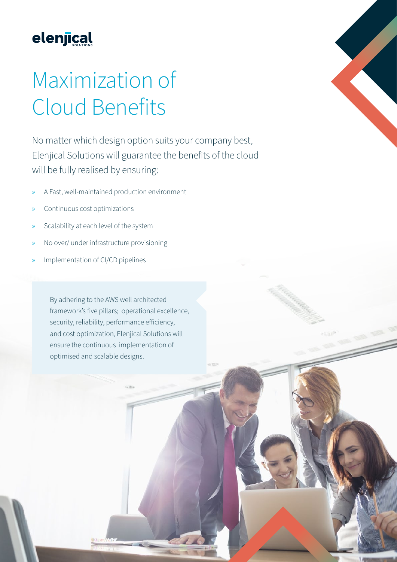

### Maximization of Cloud Benefits

No matter which design option suits your company best, Elenjical Solutions will guarantee the benefits of the cloud will be fully realised by ensuring:

- » A Fast, well-maintained production environment
- » Continuous cost optimizations
- » Scalability at each level of the system
- » No over/ under infrastructure provisioning
- » Implementation of CI/CD pipelines

By adhering to the AWS well architected framework's five pillars; operational excellence, security, reliability, performance efficiency, and cost optimization, Elenjical Solutions will ensure the continuous implementation of optimised and scalable designs.

**MUREX** ON AMAZON WEB SERVICES **5** 

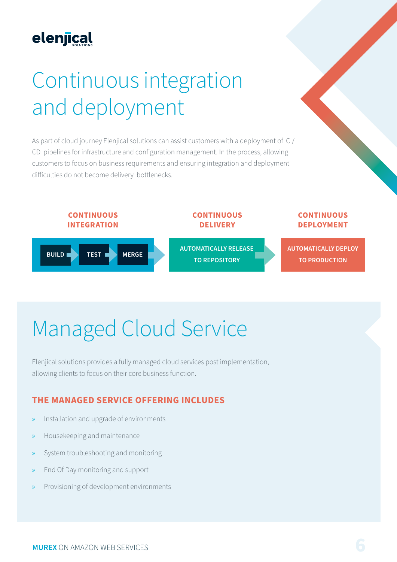### elenjical

## Continuous integration and deployment

As part of cloud journey Elenjical solutions can assist customers with a deployment of CI/ CD pipelines for infrastructure and configuration management. In the process, allowing customers to focus on business requirements and ensuring integration and deployment difficulties do not become delivery bottlenecks.



## Managed Cloud Service

Elenjical solutions provides a fully managed cloud services post implementation, allowing clients to focus on their core business function.

#### **THE MANAGED SERVICE OFFERING INCLUDES**

- » Installation and upgrade of environments
- » Housekeeping and maintenance
- » System troubleshooting and monitoring
- » End Of Day monitoring and support
- » Provisioning of development environments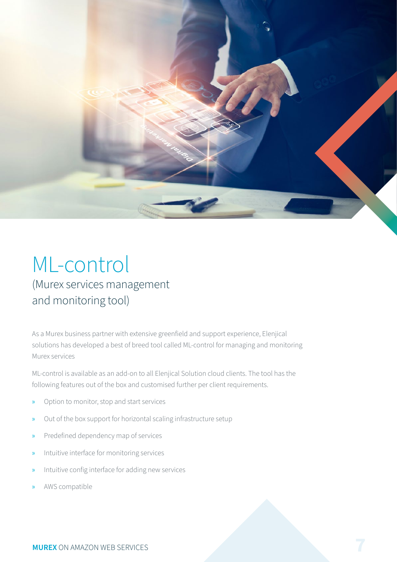

### ML-control (Murex services management and monitoring tool)

As a Murex business partner with extensive greenfield and support experience, Elenjical solutions has developed a best of breed tool called ML-control for managing and monitoring Murex services

ML-control is available as an add-on to all Elenjical Solution cloud clients. The tool has the following features out of the box and customised further per client requirements.

- » Option to monitor, stop and start services
- » Out of the box support for horizontal scaling infrastructure setup
- » Predefined dependency map of services
- » Intuitive interface for monitoring services
- Intuitive config interface for adding new services
- » AWS compatible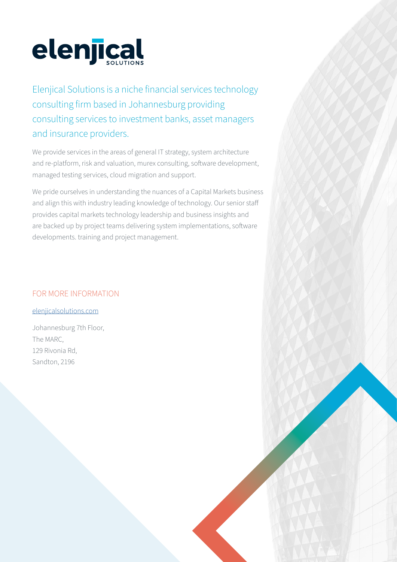

Elenjical Solutions is a niche financial services technology consulting firm based in Johannesburg providing consulting services to investment banks, asset managers and insurance providers.

We provide services in the areas of general IT strategy, system architecture and re-platform, risk and valuation, murex consulting, software development, managed testing services, cloud migration and support.

We pride ourselves in understanding the nuances of a Capital Markets business and align this with industry leading knowledge of technology. Our senior staff provides capital markets technology leadership and business insights and are backed up by project teams delivering system implementations, software developments. training and project management.

#### FOR MORE INFORMATION

[elenjicalsolutions.com](https://www.elenjicalsolutions.com/)

Johannesburg 7th Floor, The MARC, 129 Rivonia Rd, Sandton, 2196